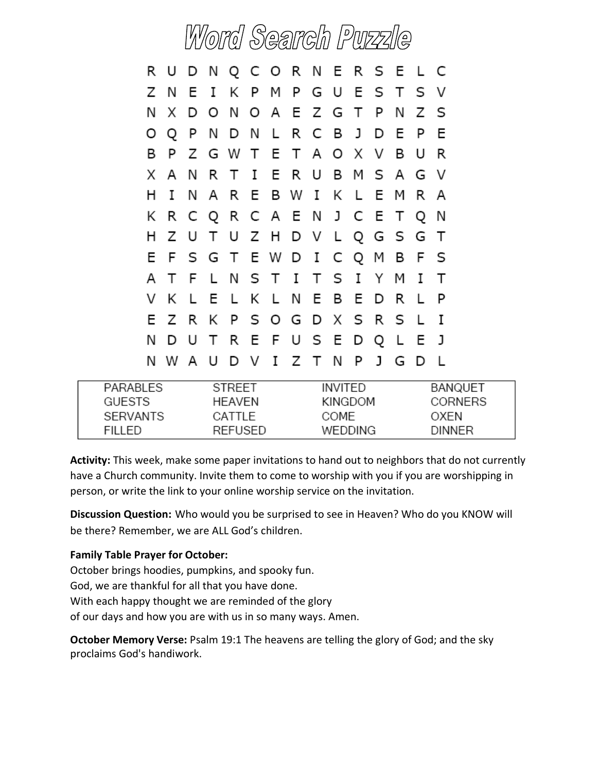# Word Search Puzzle

|    | R U D N Q C O R N E R S E L C |  |                         |  |  |  |  |     |   |
|----|-------------------------------|--|-------------------------|--|--|--|--|-----|---|
|    | Z N E I K P M P G U E S T S V |  |                         |  |  |  |  |     |   |
|    | N X D O N O A E Z G T P N Z S |  |                         |  |  |  |  |     |   |
|    | O Q                           |  | P N D N L R C B J D E   |  |  |  |  | - P | E |
| В  |                               |  | P Z G W T E T A O X V B |  |  |  |  | U   | R |
|    | X A N R T I E R U B M S A G V |  |                         |  |  |  |  |     |   |
| H. |                               |  | I N A R E B W I K L E M |  |  |  |  | R A |   |
|    | K R C Q R C A E N J C E T Q   |  |                         |  |  |  |  |     | N |
|    | H Z U T U Z H D V L Q G S G T |  |                         |  |  |  |  |     |   |
|    | E F S G T E W D I C Q M B F S |  |                         |  |  |  |  |     |   |
|    | A T F L N S T I T S I Y M     |  |                         |  |  |  |  | Ι   | ா |
|    | V K L E L K L N E B E D R     |  |                         |  |  |  |  | L.  |   |
|    | E Z R K P S O G D X S R S L   |  |                         |  |  |  |  |     | Ι |
|    | N D U T R E F U S E D Q L     |  |                         |  |  |  |  | E.  | J |
|    | N W A U D V I Z T N P J G D   |  |                         |  |  |  |  |     |   |

| PARABLES        | <b>STRFFT</b>  | INVITED. | <b>BANQUET</b> |
|-----------------|----------------|----------|----------------|
| <b>GUESTS</b>   | HFAVFN         | KINGDOM  | <b>CORNERS</b> |
| <b>SERVANTS</b> | CATTI F        | COME     | OXEN           |
| FILL ED.        | <b>REFUSED</b> | WEDDING. | <b>DINNER</b>  |

**Activity:** This week, make some paper invitations to hand out to neighbors that do not currently have a Church community. Invite them to come to worship with you if you are worshipping in person, or write the link to your online worship service on the invitation.

**Discussion Question:** Who would you be surprised to see in Heaven? Who do you KNOW will be there? Remember, we are ALL God's children.

#### **Family Table Prayer for October:**

October brings hoodies, pumpkins, and spooky fun.

God, we are thankful for all that you have done.

With each happy thought we are reminded of the glory

of our days and how you are with us in so many ways. Amen.

**October Memory Verse:** Psalm 19:1 The heavens are telling the glory of God; and the sky proclaims God's handiwork.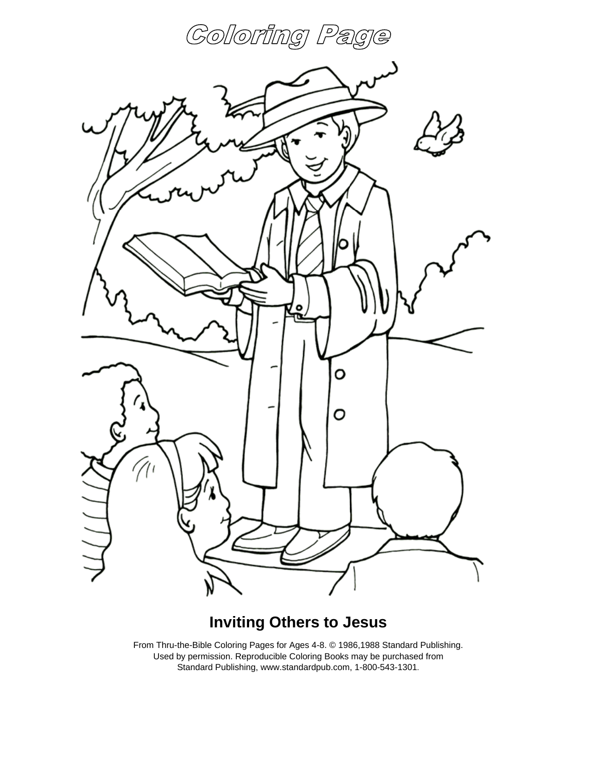



#### **Inviting Others to Jesus**

From Thru-the-Bible Coloring Pages for Ages 4-8. © 1986,1988 Standard Publishing. Used by permission. Reproducible Coloring Books may be purchased from Standard Publishing, www.standardpub.com, 1-800-543-1301.